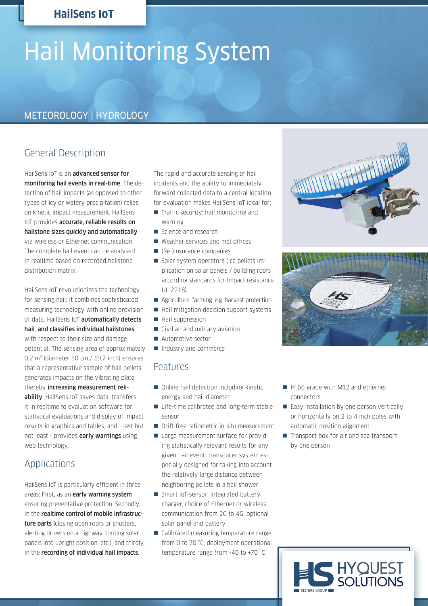## **HailSens IoT**

# Hail Monitoring System

## METEOROLOGY | HYDROLOGY

## General Description

HailSens IoT is an advanced sensor for monitoring hail events in real-time. The detection of hail impacts (as opposed to other types of icy or watery precipitation) relies on kinetic impact measurement. HailSens IoT provides accurate, reliable results on hailstone sizes quickly and automatically via wireless or Ethernet communication. The complete hail event can be analysed in realtime based on recorded hailstone distribution matrix.

HailSens IoT revolutionizes the technology for sensing hail: It combines sophisticated measuring technology with online provision of data. HailSens IoT automatically detects hail, and classifies individual hailstones with respect to their size and damage potential. The sensing area of approximately 0,2 m² (diameter 50 cm / 19.7 inch) ensures that a representative sample of hail pellets generates impacts on the vibrating plate thereby increasing measurement reliability. HailSens IoT saves data, transfers it in realtime to evaluation software for statistical evaluations and display of impact results in graphics and tables, and - last but not least - provides early warnings using web technology.

### Applications

HailSens IoT is particularly efficient in three areas: First, as an early warning system ensuring preventative protection. Secondly, in the realtime control of mobile infrastructure parts (closing open roofs or shutters, alerting drivers on a highway, turning solar panels into upright position, etc.), and thirdly, in the recording of individual hail impacts.

The rapid and accurate sensing of hail incidents and the ability to immediately forward collected data to a central location for evaluation makes HailSens IoT ideal for:

- Traffic security: hail monitoring and warning
- Science and research
- Weather services and met offices
- (Re-)Insurance companies
- Solar system operators (ice pellets implication on solar panels / building roofs according standards for impact resistance UL 2218)
- Agriculture, farming: e.g. harvest protection
- $\blacksquare$  Hail mitigation decision support systems
- **Hail suppression**
- Civilian and military aviation
- **Automotive sector**

Industry and commerce

# Features

- Online hail detection including kinetic energy and hail diameter
- Life-time calibrated and long-term stable sensor
- Drift-free ratiometric in-situ measurement
- Large measurement surface for providing statistically relevant results for any given hail event; transducer system especially designed for taking into account the relatively large distance between neighboring pellets in a hail shower
- Smart IoT-sensor: integrated battery charger, choice of Ethernet or wireless communication from 2G to 4G, optional solar panel and battery
- Calibrated measuring temperature range from 0 to 70 °C; deployment operational temperature range from -40 to +70 °C
- IP 66 grade with M12 and ethernet connectors
- Easy installation by one person vertically or horizontally on 2 to 4 inch poles with automatic position alignment
- Transport box for air and sea transport by one person